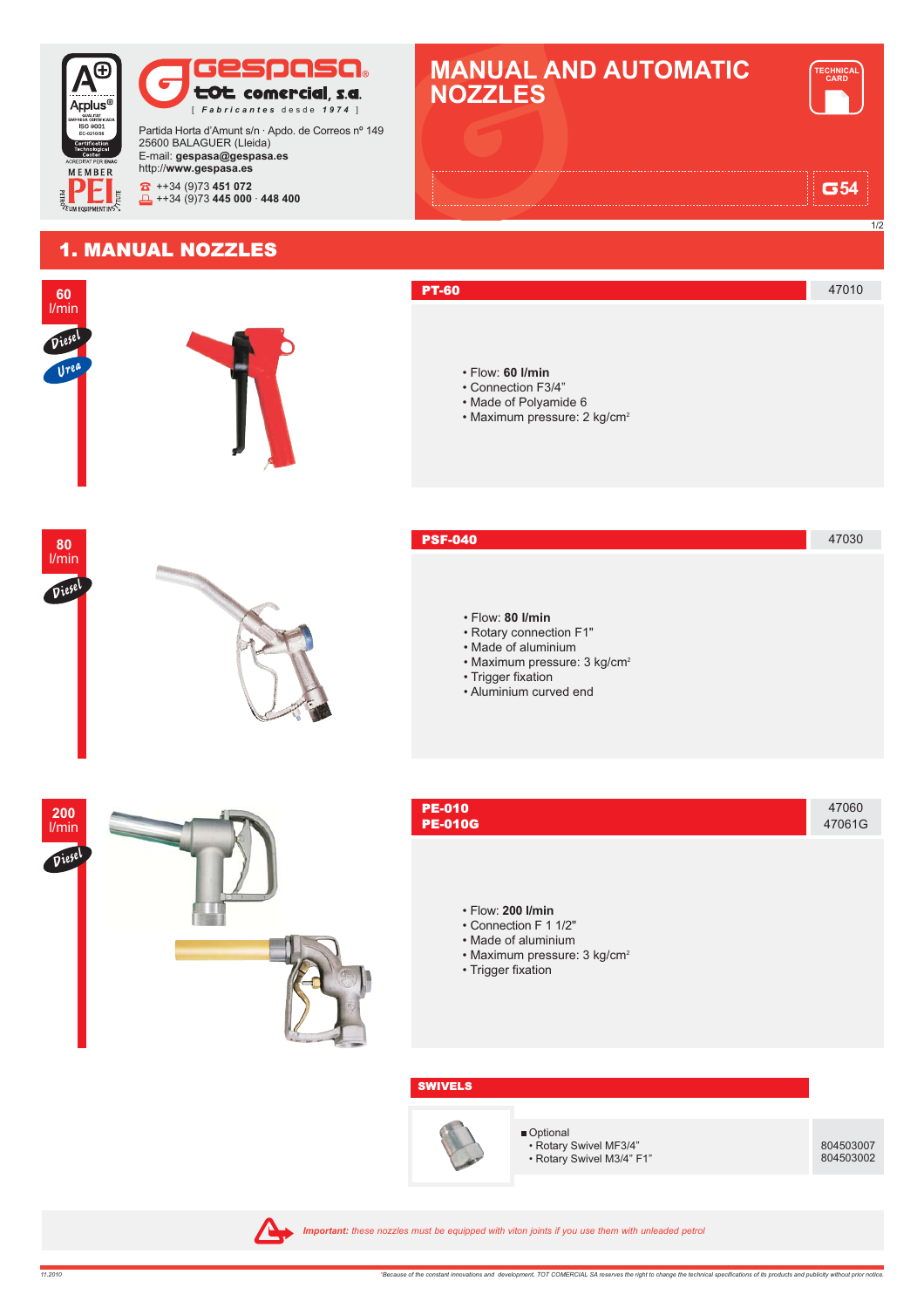

804503002

A Important: these nozzles must be equipped with viton joints if you use them with unleaded petrol

• Rotary Swivel M3/4" F1"